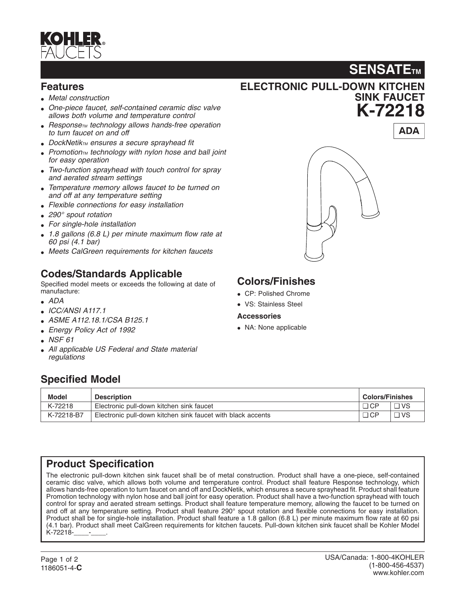

### **Features**

- *Metal construction*
- *One-piece faucet, self-contained ceramic disc valve allows both volume and temperature control*
- *Response<sub>TM</sub> technology allows hands-free operation to turn faucet on and off*
- *DockNetikTM ensures a secure sprayhead fit*
- Promotion<sub>TM</sub> *technology with nylon hose and ball joint for easy operation*
- *Two-function sprayhead with touch control for spray and aerated stream settings*
- *Temperature memory allows faucet to be turned on and off at any temperature setting*
- *Flexible connections for easy installation*
- *290° spout rotation*
- *For single-hole installation*
- *1.8 gallons (6.8 L) per minute maximum flow rate at 60 psi (4.1 bar)*
- *Meets CalGreen requirements for kitchen faucets*

# **Codes/Standards Applicable**

Specified model meets or exceeds the following at date of manufacture:

- *ADA*
- *ICC/ANSI A117.1*
- *ASME A112.18.1/CSA B125.1*
- *Energy Policy Act of 1992*
- *NSF 61*
- *All applicable US Federal and State material regulations*

# **ELECTRONIC PULL-DOWN KITCHEN SINK FAUCET K-72218**

# **Colors/Finishes**

- CP: Polished Chrome
- VS: Stainless Steel

#### **Accessories**

• NA: None applicable

## **Specified Model**

| <b>Model</b> | <b>Description</b>                                          | <b>Colors/Finishes</b> |           |
|--------------|-------------------------------------------------------------|------------------------|-----------|
| K-72218      | Electronic pull-down kitchen sink faucet                    | $\Box$ CP              | $\Box$ VS |
| K-72218-B7   | Electronic pull-down kitchen sink faucet with black accents | $\Box$ CP              | $\Box$ VS |

## **Product Specification**

The electronic pull-down kitchen sink faucet shall be of metal construction. Product shall have a one-piece, self-contained ceramic disc valve, which allows both volume and temperature control. Product shall feature Response technology, which allows hands-free operation to turn faucet on and off and DockNetik, which ensures a secure sprayhead fit. Product shall feature Promotion technology with nylon hose and ball joint for easy operation. Product shall have a two-function sprayhead with touch control for spray and aerated stream settings. Product shall feature temperature memory, allowing the faucet to be turned on and off at any temperature setting. Product shall feature 290° spout rotation and flexible connections for easy installation. Product shall be for single-hole installation. Product shall feature a 1.8 gallon (6.8 L) per minute maximum flow rate at 60 psi (4.1 bar). Product shall meet CalGreen requirements for kitchen faucets. Pull-down kitchen sink faucet shall be Kohler Model K-72218-\_\_\_\_-\_\_\_\_.



**SENSATE<sub>TM</sub>**